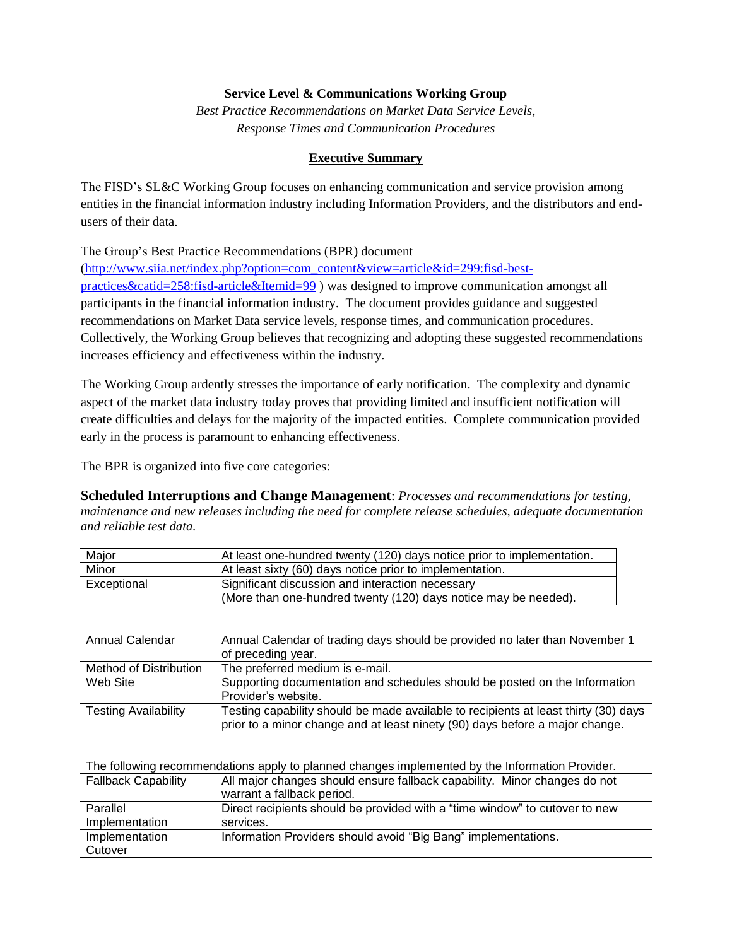## **Service Level & Communications Working Group**

*Best Practice Recommendations on Market Data Service Levels, Response Times and Communication Procedures*

## **Executive Summary**

The FISD's SL&C Working Group focuses on enhancing communication and service provision among entities in the financial information industry including Information Providers, and the distributors and endusers of their data.

The Group's Best Practice Recommendations (BPR) document

[\(http://www.siia.net/index.php?option=com\\_content&view=article&id=299:fisd-best](http://www.siia.net/index.php?option=com_content&view=article&id=299:fisd-best-practices&catid=258:fisd-article&Itemid=99)[practices&catid=258:fisd-article&Itemid=99](http://www.siia.net/index.php?option=com_content&view=article&id=299:fisd-best-practices&catid=258:fisd-article&Itemid=99) ) was designed to improve communication amongst all participants in the financial information industry. The document provides guidance and suggested recommendations on Market Data service levels, response times, and communication procedures. Collectively, the Working Group believes that recognizing and adopting these suggested recommendations increases efficiency and effectiveness within the industry.

The Working Group ardently stresses the importance of early notification. The complexity and dynamic aspect of the market data industry today proves that providing limited and insufficient notification will create difficulties and delays for the majority of the impacted entities. Complete communication provided early in the process is paramount to enhancing effectiveness.

The BPR is organized into five core categories:

**Scheduled Interruptions and Change Management**: *Processes and recommendations for testing, maintenance and new releases including the need for complete release schedules, adequate documentation and reliable test data.* 

| Major       | At least one-hundred twenty (120) days notice prior to implementation. |
|-------------|------------------------------------------------------------------------|
| Minor       | At least sixty (60) days notice prior to implementation.               |
| Exceptional | Significant discussion and interaction necessary                       |
|             | (More than one-hundred twenty (120) days notice may be needed).        |

| Annual Calendar             | Annual Calendar of trading days should be provided no later than November 1         |
|-----------------------------|-------------------------------------------------------------------------------------|
|                             | of preceding year.                                                                  |
| Method of Distribution      | The preferred medium is e-mail.                                                     |
| Web Site                    | Supporting documentation and schedules should be posted on the Information          |
|                             | Provider's website.                                                                 |
| <b>Testing Availability</b> | Testing capability should be made available to recipients at least thirty (30) days |
|                             | prior to a minor change and at least ninety (90) days before a major change.        |

The following recommendations apply to planned changes implemented by the Information Provider.

| <b>Fallback Capability</b> | All major changes should ensure fallback capability. Minor changes do not<br>warrant a fallback period. |
|----------------------------|---------------------------------------------------------------------------------------------------------|
| Parallel                   | Direct recipients should be provided with a "time window" to cutover to new                             |
| Implementation             | services.                                                                                               |
| Implementation             | Information Providers should avoid "Big Bang" implementations.                                          |
| Cutover                    |                                                                                                         |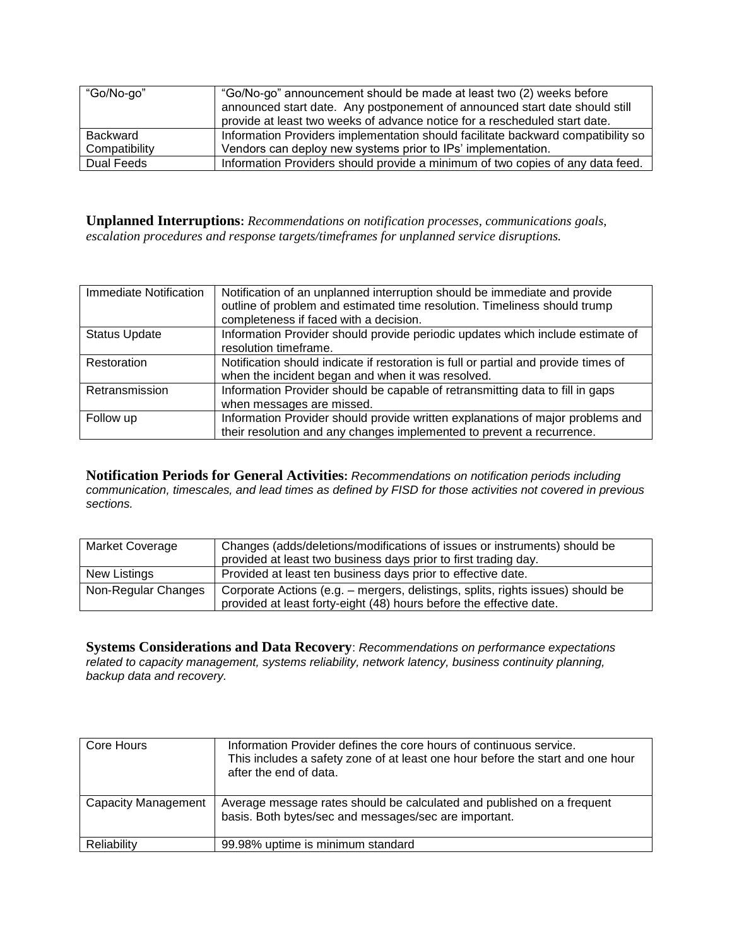| "Go/No-go"    | "Go/No-go" announcement should be made at least two (2) weeks before<br>announced start date. Any postponement of announced start date should still |
|---------------|-----------------------------------------------------------------------------------------------------------------------------------------------------|
|               | provide at least two weeks of advance notice for a rescheduled start date.                                                                          |
| Backward      | Information Providers implementation should facilitate backward compatibility so                                                                    |
| Compatibility | Vendors can deploy new systems prior to IPs' implementation.                                                                                        |
| Dual Feeds    | Information Providers should provide a minimum of two copies of any data feed.                                                                      |

**Unplanned Interruptions:** *Recommendations on notification processes, communications goals, escalation procedures and response targets/timeframes for unplanned service disruptions.*

| Immediate Notification | Notification of an unplanned interruption should be immediate and provide<br>outline of problem and estimated time resolution. Timeliness should trump<br>completeness if faced with a decision. |
|------------------------|--------------------------------------------------------------------------------------------------------------------------------------------------------------------------------------------------|
| <b>Status Update</b>   | Information Provider should provide periodic updates which include estimate of<br>resolution timeframe.                                                                                          |
| Restoration            | Notification should indicate if restoration is full or partial and provide times of<br>when the incident began and when it was resolved.                                                         |
| Retransmission         | Information Provider should be capable of retransmitting data to fill in gaps<br>when messages are missed.                                                                                       |
| Follow up              | Information Provider should provide written explanations of major problems and<br>their resolution and any changes implemented to prevent a recurrence.                                          |

**Notification Periods for General Activities:** *Recommendations on notification periods including communication, timescales, and lead times as defined by FISD for those activities not covered in previous sections.* 

| <b>Market Coverage</b> | Changes (adds/deletions/modifications of issues or instruments) should be<br>provided at least two business days prior to first trading day.           |
|------------------------|--------------------------------------------------------------------------------------------------------------------------------------------------------|
| New Listings           | Provided at least ten business days prior to effective date.                                                                                           |
| Non-Regular Changes    | Corporate Actions (e.g. – mergers, delistings, splits, rights issues) should be<br>provided at least forty-eight (48) hours before the effective date. |

**Systems Considerations and Data Recovery**: *Recommendations on performance expectations related to capacity management, systems reliability, network latency, business continuity planning, backup data and recovery.* 

| Core Hours          | Information Provider defines the core hours of continuous service.<br>This includes a safety zone of at least one hour before the start and one hour<br>after the end of data. |
|---------------------|--------------------------------------------------------------------------------------------------------------------------------------------------------------------------------|
| Capacity Management | Average message rates should be calculated and published on a frequent<br>basis. Both bytes/sec and messages/sec are important.                                                |
| Reliability         | 99.98% uptime is minimum standard                                                                                                                                              |